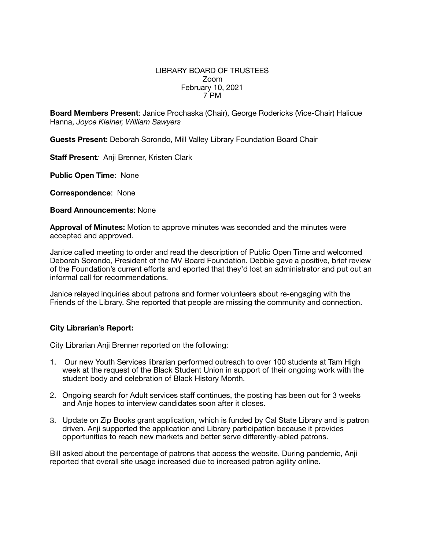## LIBRARY BOARD OF TRUSTEES Zoom February 10, 2021 7 PM

**Board Members Present**: Janice Prochaska (Chair), George Rodericks (Vice-Chair) Halicue Hanna, *Joyce Kleiner, William Sawyers*

**Guests Present:** Deborah Sorondo, Mill Valley Library Foundation Board Chair

**Staff Present***:* Anji Brenner, Kristen Clark

**Public Open Time**: None

**Correspondence**: None

**Board Announcements**: None

**Approval of Minutes:** Motion to approve minutes was seconded and the minutes were accepted and approved.

Janice called meeting to order and read the description of Public Open Time and welcomed Deborah Sorondo, President of the MV Board Foundation. Debbie gave a positive, brief review of the Foundation's current efforts and eported that they'd lost an administrator and put out an informal call for recommendations.

Janice relayed inquiries about patrons and former volunteers about re-engaging with the Friends of the Library. She reported that people are missing the community and connection.

## **City Librarian's Report:**

City Librarian Anji Brenner reported on the following:

- 1. Our new Youth Services librarian performed outreach to over 100 students at Tam High week at the request of the Black Student Union in support of their ongoing work with the student body and celebration of Black History Month.
- 2. Ongoing search for Adult services staff continues, the posting has been out for 3 weeks and Anje hopes to interview candidates soon after it closes.
- 3. Update on Zip Books grant application, which is funded by Cal State Library and is patron driven. Anji supported the application and Library participation because it provides opportunities to reach new markets and better serve differently-abled patrons.

Bill asked about the percentage of patrons that access the website. During pandemic, Anji reported that overall site usage increased due to increased patron agility online.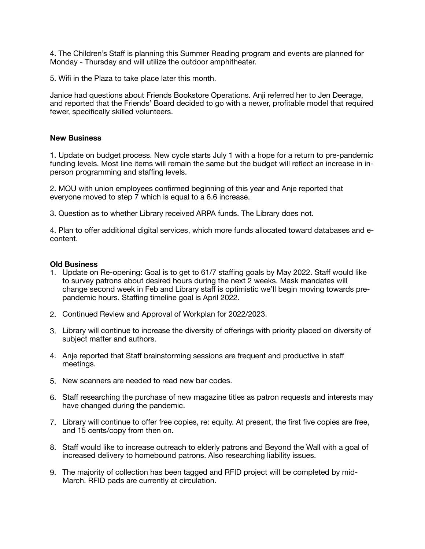4. The Children's Staff is planning this Summer Reading program and events are planned for Monday - Thursday and will utilize the outdoor amphitheater.

5. Wifi in the Plaza to take place later this month.

Janice had questions about Friends Bookstore Operations. Anji referred her to Jen Deerage, and reported that the Friends' Board decided to go with a newer, profitable model that required fewer, specifically skilled volunteers.

### **New Business**

1. Update on budget process. New cycle starts July 1 with a hope for a return to pre-pandemic funding levels. Most line items will remain the same but the budget will reflect an increase in inperson programming and staffing levels.

2. MOU with union employees confirmed beginning of this year and Anje reported that everyone moved to step 7 which is equal to a 6.6 increase.

3. Question as to whether Library received ARPA funds. The Library does not.

4. Plan to offer additional digital services, which more funds allocated toward databases and econtent.

#### **Old Business**

- 1. Update on Re-opening: Goal is to get to 61/7 staffing goals by May 2022. Staff would like to survey patrons about desired hours during the next 2 weeks. Mask mandates will change second week in Feb and Library staff is optimistic we'll begin moving towards prepandemic hours. Staffing timeline goal is April 2022.
- 2. Continued Review and Approval of Workplan for 2022/2023.
- 3. Library will continue to increase the diversity of offerings with priority placed on diversity of subject matter and authors.
- 4. Anje reported that Staff brainstorming sessions are frequent and productive in staff meetings.
- 5. New scanners are needed to read new bar codes.
- 6. Staff researching the purchase of new magazine titles as patron requests and interests may have changed during the pandemic.
- 7. Library will continue to offer free copies, re: equity. At present, the first five copies are free, and 15 cents/copy from then on.
- 8. Staff would like to increase outreach to elderly patrons and Beyond the Wall with a goal of increased delivery to homebound patrons. Also researching liability issues.
- 9. The majority of collection has been tagged and RFID project will be completed by mid-March. RFID pads are currently at circulation.